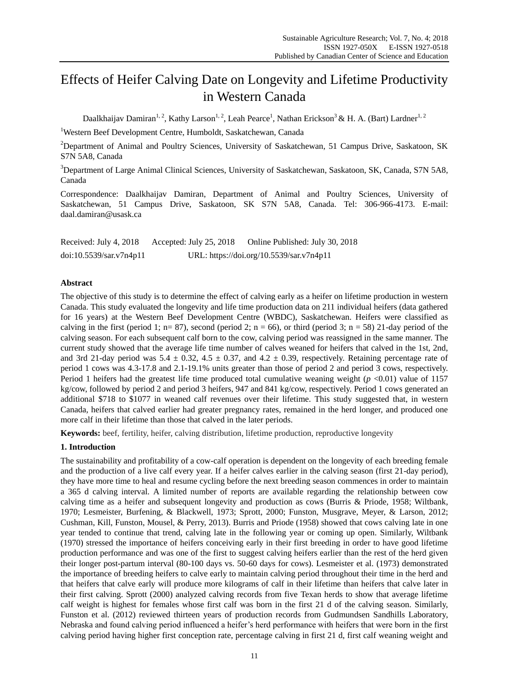# Effects of Heifer Calving Date on Longevity and Lifetime Productivity in Western Canada

Daalkhaijav Damiran<sup>1, 2</sup>, Kathy Larson<sup>1, 2</sup>, Leah Pearce<sup>1</sup>, Nathan Erickson<sup>3</sup> & H. A. (Bart) Lardner<sup>1, 2</sup>

<sup>1</sup>Western Beef Development Centre, Humboldt, Saskatchewan, Canada

<sup>2</sup>Department of Animal and Poultry Sciences, University of Saskatchewan, 51 Campus Drive, Saskatoon, SK S7N 5A8, Canada

<sup>3</sup>Department of Large Animal Clinical Sciences, University of Saskatchewan, Saskatoon, SK, Canada, S7N 5A8, Canada

Correspondence: Daalkhaijav Damiran, Department of Animal and Poultry Sciences, University of Saskatchewan, 51 Campus Drive, Saskatoon, SK S7N 5A8, Canada. Tel: 306-966-4173. E-mail: daal.damiran@usask.ca

| Received: July 4, 2018  | Accepted: July 25, 2018 | Online Published: July 30, 2018          |
|-------------------------|-------------------------|------------------------------------------|
| doi:10.5539/sar.v7n4p11 |                         | URL: https://doi.org/10.5539/sar.v7n4p11 |

# **Abstract**

The objective of this study is to determine the effect of calving early as a heifer on lifetime production in western Canada. This study evaluated the longevity and life time production data on 211 individual heifers (data gathered for 16 years) at the Western Beef Development Centre (WBDC), Saskatchewan. Heifers were classified as calving in the first (period 1; n= 87), second (period 2; n = 66), or third (period 3; n = 58) 21-day period of the calving season. For each subsequent calf born to the cow, calving period was reassigned in the same manner. The current study showed that the average life time number of calves weaned for heifers that calved in the 1st, 2nd, and 3rd 21-day period was 5.4  $\pm$  0.32, 4.5  $\pm$  0.37, and 4.2  $\pm$  0.39, respectively. Retaining percentage rate of period 1 cows was 4.3-17.8 and 2.1-19.1% units greater than those of period 2 and period 3 cows, respectively. Period 1 heifers had the greatest life time produced total cumulative weaning weight  $(p \le 0.01)$  value of 1157 kg/cow, followed by period 2 and period 3 heifers, 947 and 841 kg/cow, respectively. Period 1 cows generated an additional \$718 to \$1077 in weaned calf revenues over their lifetime. This study suggested that, in western Canada, heifers that calved earlier had greater pregnancy rates, remained in the herd longer, and produced one more calf in their lifetime than those that calved in the later periods.

**Keywords:** beef, fertility, heifer, calving distribution, lifetime production, reproductive longevity

# **1. Introduction**

The sustainability and profitability of a cow-calf operation is dependent on the longevity of each breeding female and the production of a live calf every year. If a heifer calves earlier in the calving season (first 21-day period), they have more time to heal and resume cycling before the next breeding season commences in order to maintain a 365 d calving interval. A limited number of reports are available regarding the relationship between cow calving time as a heifer and subsequent longevity and production as cows (Burris & Priode, 1958; Wiltbank, 1970; Lesmeister, Burfening, & Blackwell, 1973; Sprott, 2000; Funston, Musgrave, Meyer, & Larson, 2012; Cushman, Kill, Funston, Mousel, & Perry, 2013). Burris and Priode (1958) showed that cows calving late in one year tended to continue that trend, calving late in the following year or coming up open. Similarly, Wiltbank (1970) stressed the importance of heifers conceiving early in their first breeding in order to have good lifetime production performance and was one of the first to suggest calving heifers earlier than the rest of the herd given their longer post-partum interval (80-100 days vs. 50-60 days for cows). Lesmeister et al. (1973) demonstrated the importance of breeding heifers to calve early to maintain calving period throughout their time in the herd and that heifers that calve early will produce more kilograms of calf in their lifetime than heifers that calve later in their first calving. Sprott (2000) analyzed calving records from five Texan herds to show that average lifetime calf weight is highest for females whose first calf was born in the first 21 d of the calving season. Similarly, Funston et al. (2012) reviewed thirteen years of production records from Gudmundsen Sandhills Laboratory, Nebraska and found calving period influenced a heifer's herd performance with heifers that were born in the first calving period having higher first conception rate, percentage calving in first 21 d, first calf weaning weight and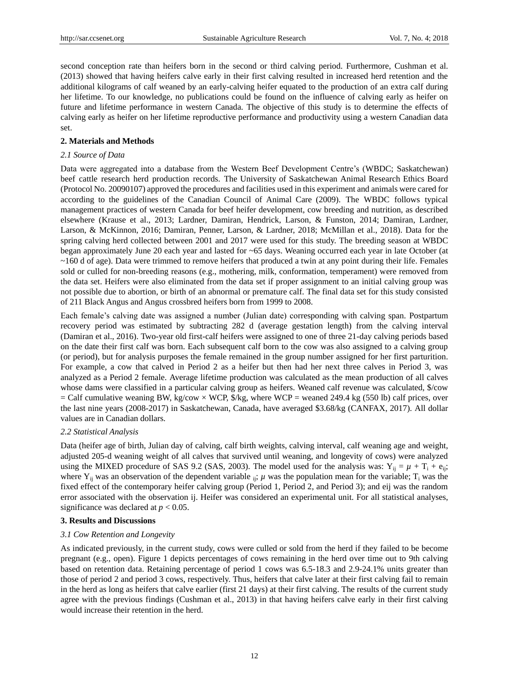second conception rate than heifers born in the second or third calving period. Furthermore, Cushman et al. (2013) showed that having heifers calve early in their first calving resulted in increased herd retention and the additional kilograms of calf weaned by an early-calving heifer equated to the production of an extra calf during her lifetime. To our knowledge, no publications could be found on the influence of calving early as heifer on future and lifetime performance in western Canada. The objective of this study is to determine the effects of calving early as heifer on her lifetime reproductive performance and productivity using a western Canadian data set.

## **2. Materials and Methods**

## *2.1 Source of Data*

Data were aggregated into a database from the Western Beef Development Centre's (WBDC; Saskatchewan) beef cattle research herd production records. The University of Saskatchewan Animal Research Ethics Board (Protocol No. 20090107) approved the procedures and facilities used in this experiment and animals were cared for according to the guidelines of the Canadian Council of Animal Care (2009). The WBDC follows typical management practices of western Canada for beef heifer development, cow breeding and nutrition, as described elsewhere (Krause et al., 2013; Lardner, Damiran, Hendrick, Larson, & Funston, 2014; Damiran, Lardner, Larson, & McKinnon, 2016; Damiran, Penner, Larson, & Lardner, 2018; McMillan et al., 2018). Data for the spring calving herd collected between 2001 and 2017 were used for this study. The breeding season at WBDC began approximately June 20 each year and lasted for ~65 days. Weaning occurred each year in late October (at ~160 d of age). Data were trimmed to remove heifers that produced a twin at any point during their life. Females sold or culled for non-breeding reasons (e.g., mothering, milk, conformation, temperament) were removed from the data set. Heifers were also eliminated from the data set if proper assignment to an initial calving group was not possible due to abortion, or birth of an abnormal or premature calf. The final data set for this study consisted of 211 Black Angus and Angus crossbred heifers born from 1999 to 2008.

Each female's calving date was assigned a number (Julian date) corresponding with calving span. Postpartum recovery period was estimated by subtracting 282 d (average gestation length) from the calving interval (Damiran et al., 2016). Two-year old first-calf heifers were assigned to one of three 21-day calving periods based on the date their first calf was born. Each subsequent calf born to the cow was also assigned to a calving group (or period), but for analysis purposes the female remained in the group number assigned for her first parturition. For example, a cow that calved in Period 2 as a heifer but then had her next three calves in Period 3, was analyzed as a Period 2 female. Average lifetime production was calculated as the mean production of all calves whose dams were classified in a particular calving group as heifers. Weaned calf revenue was calculated, \$/cow  $=$  Calf cumulative weaning BW, kg/cow  $\times$  WCP,  $\frac{6}{k}$ g, where WCP = weaned 249.4 kg (550 lb) calf prices, over the last nine years (2008-2017) in Saskatchewan, Canada, have averaged \$3.68/kg (CANFAX, 2017). All dollar values are in Canadian dollars.

#### *2.2 Statistical Analysis*

Data (heifer age of birth, Julian day of calving, calf birth weights, calving interval, calf weaning age and weight, adjusted 205-d weaning weight of all calves that survived until weaning, and longevity of cows) were analyzed using the MIXED procedure of SAS 9.2 (SAS, 2003). The model used for the analysis was:  $Y_{ii} = \mu + T_i + e_{ii}$ ; where  $Y_{ij}$  was an observation of the dependent variable  $_{ij}$ ;  $\mu$  was the population mean for the variable;  $T_i$  was the fixed effect of the contemporary heifer calving group (Period 1, Period 2, and Period 3); and eij was the random error associated with the observation ij. Heifer was considered an experimental unit. For all statistical analyses, significance was declared at  $p < 0.05$ .

#### **3. Results and Discussions**

# *3.1 Cow Retention and Longevity*

As indicated previously, in the current study, cows were culled or sold from the herd if they failed to be become pregnant (e.g., open). Figure 1 depicts percentages of cows remaining in the herd over time out to 9th calving based on retention data. Retaining percentage of period 1 cows was 6.5-18.3 and 2.9-24.1% units greater than those of period 2 and period 3 cows, respectively. Thus, heifers that calve later at their first calving fail to remain in the herd as long as heifers that calve earlier (first 21 days) at their first calving. The results of the current study agree with the previous findings (Cushman et al., 2013) in that having heifers calve early in their first calving would increase their retention in the herd.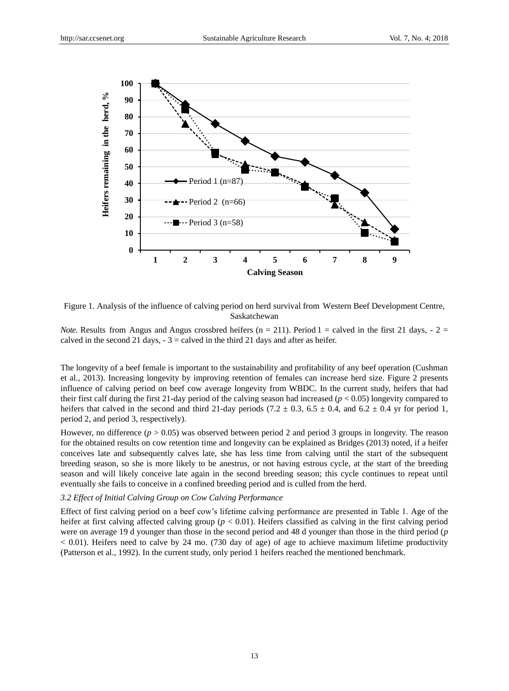

Figure 1. Analysis of the influence of calving period on herd survival from Western Beef Development Centre, Saskatchewan

*Note*. Results from Angus and Angus crossbred heifers ( $n = 211$ ). Period 1 = calved in the first 21 days,  $-2 =$ calved in the second 21 days,  $-3 =$  calved in the third 21 days and after as heifer.

The longevity of a beef female is important to the sustainability and profitability of any beef operation (Cushman et al., 2013). Increasing longevity by improving retention of females can increase herd size. Figure 2 presents influence of calving period on beef cow average longevity from WBDC. In the current study, heifers that had their first calf during the first 21-day period of the calving season had increased (*p* < 0.05) longevity compared to heifers that calved in the second and third 21-day periods (7.2  $\pm$  0.3, 6.5  $\pm$  0.4, and 6.2  $\pm$  0.4 yr for period 1, period 2, and period 3, respectively).

However, no difference  $(p > 0.05)$  was observed between period 2 and period 3 groups in longevity. The reason for the obtained results on cow retention time and longevity can be explained as Bridges (2013) noted, if a heifer conceives late and subsequently calves late, she has less time from calving until the start of the subsequent breeding season, so she is more likely to be anestrus, or not having estrous cycle, at the start of the breeding season and will likely conceive late again in the second breeding season; this cycle continues to repeat until eventually she fails to conceive in a confined breeding period and is culled from the herd.

#### *3.2 Effect of Initial Calving Group on Cow Calving Performance*

Effect of first calving period on a beef cow's lifetime calving performance are presented in Table 1. Age of the heifer at first calving affected calving group ( $p < 0.01$ ). Heifers classified as calving in the first calving period were on average 19 d younger than those in the second period and 48 d younger than those in the third period (*p*  $< 0.01$ ). Heifers need to calve by 24 mo. (730 day of age) of age to achieve maximum lifetime productivity (Patterson et al., 1992). In the current study, only period 1 heifers reached the mentioned benchmark.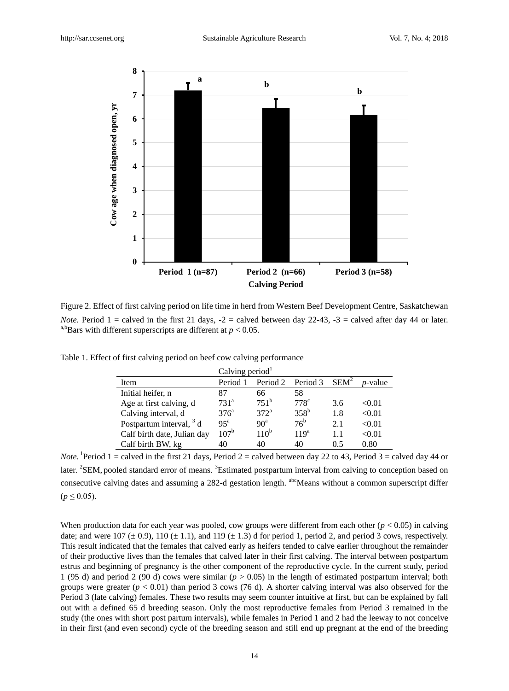

Figure 2. Effect of first calving period on life time in herd from Western Beef Development Centre, Saskatchewan *Note*. Period  $1 =$  calved in the first 21 days,  $-2 =$  calved between day 22-43,  $-3 =$  calved after day 44 or later. <sup>a,b</sup>Bars with different superscripts are different at  $p < 0.05$ .

|                             | Calving period $1$ |                  |                  |         |            |  |  |
|-----------------------------|--------------------|------------------|------------------|---------|------------|--|--|
| Item                        | Period 1           | Period 2         | Period 3         | $SEM^2$ | $p$ -value |  |  |
| Initial heifer, n           | 87                 | 66               | 58               |         |            |  |  |
| Age at first calving, d     | 731 <sup>a</sup>   | $751^{\rm b}$    | 778 <sup>c</sup> | 3.6     | < 0.01     |  |  |
| Calving interval, d         | 376 <sup>a</sup>   | 372 <sup>a</sup> | $358^{\rm b}$    | 1.8     | < 0.01     |  |  |
| Postpartum interval, $3 d$  | $95^{\mathrm{a}}$  | 90 <sup>a</sup>  | $76^{\rm b}$     | 2.1     | < 0.01     |  |  |
| Calf birth date, Julian day | $107^{b}$          | 110 <sup>b</sup> | 119 <sup>a</sup> | 1.1     | < 0.01     |  |  |
| Calf birth BW, kg           | 40                 | 40               | 40               | 0.5     | 0.80       |  |  |

Table 1. Effect of first calving period on beef cow calving performance

*Note*. <sup>1</sup> Period 1 = calved in the first 21 days, Period 2 = calved between day 22 to 43, Period 3 = calved day 44 or later. <sup>2</sup>SEM, pooled standard error of means. <sup>3</sup>Estimated postpartum interval from calving to conception based on consecutive calving dates and assuming a 282-d gestation length. <sup>abc</sup>Means without a common superscript differ  $(p \le 0.05)$ .

When production data for each year was pooled, cow groups were different from each other ( $p < 0.05$ ) in calving date; and were 107 ( $\pm$  0.9), 110 ( $\pm$  1.1), and 119 ( $\pm$  1.3) d for period 1, period 2, and period 3 cows, respectively. This result indicated that the females that calved early as heifers tended to calve earlier throughout the remainder of their productive lives than the females that calved later in their first calving. The interval between postpartum estrus and beginning of pregnancy is the other component of the reproductive cycle. In the current study, period 1 (95 d) and period 2 (90 d) cows were similar (*p* > 0.05) in the length of estimated postpartum interval; both groups were greater  $(p < 0.01)$  than period 3 cows (76 d). A shorter calving interval was also observed for the Period 3 (late calving) females. These two results may seem counter intuitive at first, but can be explained by fall out with a defined 65 d breeding season. Only the most reproductive females from Period 3 remained in the study (the ones with short post partum intervals), while females in Period 1 and 2 had the leeway to not conceive in their first (and even second) cycle of the breeding season and still end up pregnant at the end of the breeding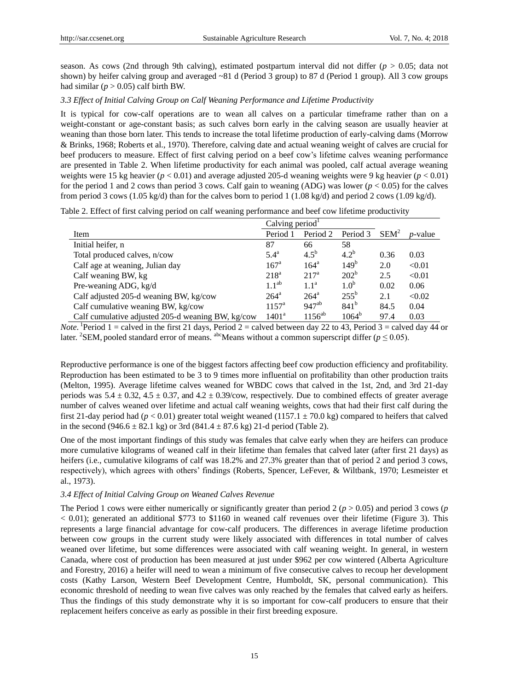season. As cows (2nd through 9th calving), estimated postpartum interval did not differ ( $p > 0.05$ ; data not shown) by heifer calving group and averaged ~81 d (Period 3 group) to 87 d (Period 1 group). All 3 cow groups had similar  $(p > 0.05)$  calf birth BW.

## *3.3 Effect of Initial Calving Group on Calf Weaning Performance and Lifetime Productivity*

It is typical for cow-calf operations are to wean all calves on a particular timeframe rather than on a weight-constant or age-constant basis; as such calves born early in the calving season are usually heavier at weaning than those born later. This tends to increase the total lifetime production of early-calving dams (Morrow & Brinks, 1968; Roberts et al., 1970). Therefore, calving date and actual weaning weight of calves are crucial for beef producers to measure. Effect of first calving period on a beef cow's lifetime calves weaning performance are presented in Table 2. When lifetime productivity for each animal was pooled, calf actual average weaning weights were 15 kg heavier (*p* < 0.01) and average adjusted 205-d weaning weights were 9 kg heavier (*p* < 0.01) for the period 1 and 2 cows than period 3 cows. Calf gain to weaning (ADG) was lower  $(p < 0.05)$  for the calves from period 3 cows (1.05 kg/d) than for the calves born to period 1 (1.08 kg/d) and period 2 cows (1.09 kg/d).

|  |  |  | Table 2. Effect of first calving period on calf weaning performance and beef cow lifetime productivity |  |  |  |  |
|--|--|--|--------------------------------------------------------------------------------------------------------|--|--|--|--|
|  |  |  |                                                                                                        |  |  |  |  |

|                                                   | Calving period     |                  |                  |         |                 |
|---------------------------------------------------|--------------------|------------------|------------------|---------|-----------------|
| Item                                              | Period 1           | Period 2         | Period 3         | $SEM^2$ | <i>p</i> -value |
| Initial heifer, n                                 | 87                 | 66               | 58               |         |                 |
| Total produced calves, n/cow                      | 5.4 <sup>a</sup>   | $4.5^{b}$        | $4.2^{b}$        | 0.36    | 0.03            |
| Calf age at weaning, Julian day                   | 167 <sup>a</sup>   | 164 <sup>a</sup> | $149^{b}$        | 2.0     | < 0.01          |
| Calf weaning BW, kg                               | 218 <sup>a</sup>   | $217^{\rm a}$    | 202 <sup>b</sup> | 2.5     | < 0.01          |
| Pre-weaning ADG, kg/d                             | $1.1^{ab}$         | $1.1^{\rm a}$    | 1.0 <sup>b</sup> | 0.02    | 0.06            |
| Calf adjusted 205-d weaning BW, kg/cow            | $264^{\mathrm{a}}$ | $264^{\circ}$    | $255^{\rm b}$    | 2.1     | < 0.02          |
| Calf cumulative weaning BW, kg/cow                | $1157^{\rm a}$     | $947^{ab}$       | $841^{b}$        | 84.5    | 0.04            |
| Calf cumulative adjusted 205-d weaning BW, kg/cow | $1401^a$           | $1156^{ab}$      | $1064^{\rm b}$   | 97.4    | 0.03            |

*Note*. <sup>1</sup> Period 1 = calved in the first 21 days, Period 2 = calved between day 22 to 43, Period 3 = calved day 44 or later. <sup>2</sup>SEM, pooled standard error of means. <sup>abc</sup>Means without a common superscript differ ( $p \le 0.05$ ).

Reproductive performance is one of the biggest factors affecting beef cow production efficiency and profitability. Reproduction has been estimated to be 3 to 9 times more influential on profitability than other production traits (Melton, 1995). Average lifetime calves weaned for WBDC cows that calved in the 1st, 2nd, and 3rd 21-day periods was 5.4  $\pm$  0.32, 4.5  $\pm$  0.37, and 4.2  $\pm$  0.39/cow, respectively. Due to combined effects of greater average number of calves weaned over lifetime and actual calf weaning weights, cows that had their first calf during the first 21-day period had ( $p < 0.01$ ) greater total weight weaned (1157.1  $\pm$  70.0 kg) compared to heifers that calved in the second (946.6  $\pm$  82.1 kg) or 3rd (841.4  $\pm$  87.6 kg) 21-d period (Table 2).

One of the most important findings of this study was females that calve early when they are heifers can produce more cumulative kilograms of weaned calf in their lifetime than females that calved later (after first 21 days) as heifers (i.e., cumulative kilograms of calf was 18.2% and 27.3% greater than that of period 2 and period 3 cows, respectively), which agrees with others' findings (Roberts, Spencer, LeFever, & Wiltbank, 1970; Lesmeister et al., 1973).

#### *3.4 Effect of Initial Calving Group on Weaned Calves Revenue*

The Period 1 cows were either numerically or significantly greater than period 2 ( $p > 0.05$ ) and period 3 cows ( $p$ ) < 0.01); generated an additional \$773 to \$1160 in weaned calf revenues over their lifetime (Figure 3). This represents a large financial advantage for cow-calf producers. The differences in average lifetime production between cow groups in the current study were likely associated with differences in total number of calves weaned over lifetime, but some differences were associated with calf weaning weight. In general, in western Canada, where cost of production has been measured at just under \$962 per cow wintered (Alberta Agriculture and Forestry, 2016) a heifer will need to wean a minimum of five consecutive calves to recoup her development costs (Kathy Larson, Western Beef Development Centre, Humboldt, SK, personal communication). This economic threshold of needing to wean five calves was only reached by the females that calved early as heifers. Thus the findings of this study demonstrate why it is so important for cow-calf producers to ensure that their replacement heifers conceive as early as possible in their first breeding exposure.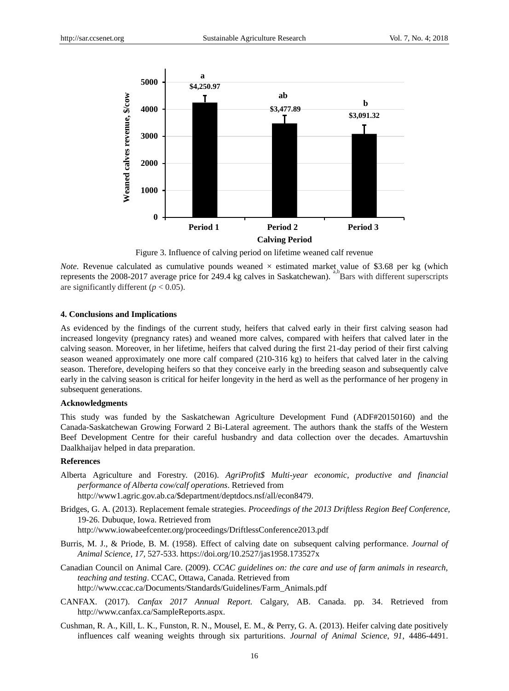

Figure 3. Influence of calving period on lifetime weaned calf revenue

*Note*. Revenue calculated as cumulative pounds weaned  $\times$  estimated market value of \$3.68 per kg (which represents the 2008-2017 average price for 249.4 kg calves in Saskatchewan). <sup>a,b</sup>Bars with different superscripts are significantly different  $(p < 0.05)$ .

## **4. Conclusions and Implications**

As evidenced by the findings of the current study, heifers that calved early in their first calving season had increased longevity (pregnancy rates) and weaned more calves, compared with heifers that calved later in the calving season. Moreover, in her lifetime, heifers that calved during the first 21-day period of their first calving season weaned approximately one more calf compared (210-316 kg) to heifers that calved later in the calving season. Therefore, developing heifers so that they conceive early in the breeding season and subsequently calve early in the calving season is critical for heifer longevity in the herd as well as the performance of her progeny in subsequent generations.

## **Acknowledgments**

This study was funded by the Saskatchewan Agriculture Development Fund (ADF#20150160) and the Canada-Saskatchewan Growing Forward 2 Bi-Lateral agreement. The authors thank the staffs of the Western Beef Development Centre for their careful husbandry and data collection over the decades. Amartuvshin Daalkhaijav helped in data preparation.

## **References**

- Alberta Agriculture and Forestry. (2016). *AgriProfit\$ Multi-year economic, productive and financial performance of Alberta cow/calf operations*. Retrieved from http://www1.agric.gov.ab.ca/\$department/deptdocs.nsf/all/econ8479.
- Bridges, G. A. (2013). Replacement female strategies. *Proceedings of the 2013 Driftless Region Beef Conference,*  19-26. Dubuque, Iowa. Retrieved from

http://www.iowabeefcenter.org/proceedings/DriftlessConference2013.pdf

- Burris, M. J., & Priode, B. M. (1958). Effect of calving date on subsequent calving performance. *Journal of Animal Science*, *17,* 527-533. https://doi.org/10.2527/jas1958.173527x
- Canadian Council on Animal Care. (2009). *CCAC guidelines on: the care and use of farm animals in research, teaching and testing*. CCAC, Ottawa, Canada. Retrieved from http://www.ccac.ca/Documents/Standards/Guidelines/Farm\_Animals.pdf
- CANFAX. (2017). *Canfax 2017 Annual Report.* Calgary, AB. Canada. pp. 34. Retrieved from http://www.canfax.ca/SampleReports.aspx.
- Cushman, R. A., Kill, L. K., Funston, R. N., Mousel, E. M., & Perry, G. A. (2013). Heifer calving date positively influences calf weaning weights through six parturitions. *Journal of Animal Science*, *91*, 4486-4491.